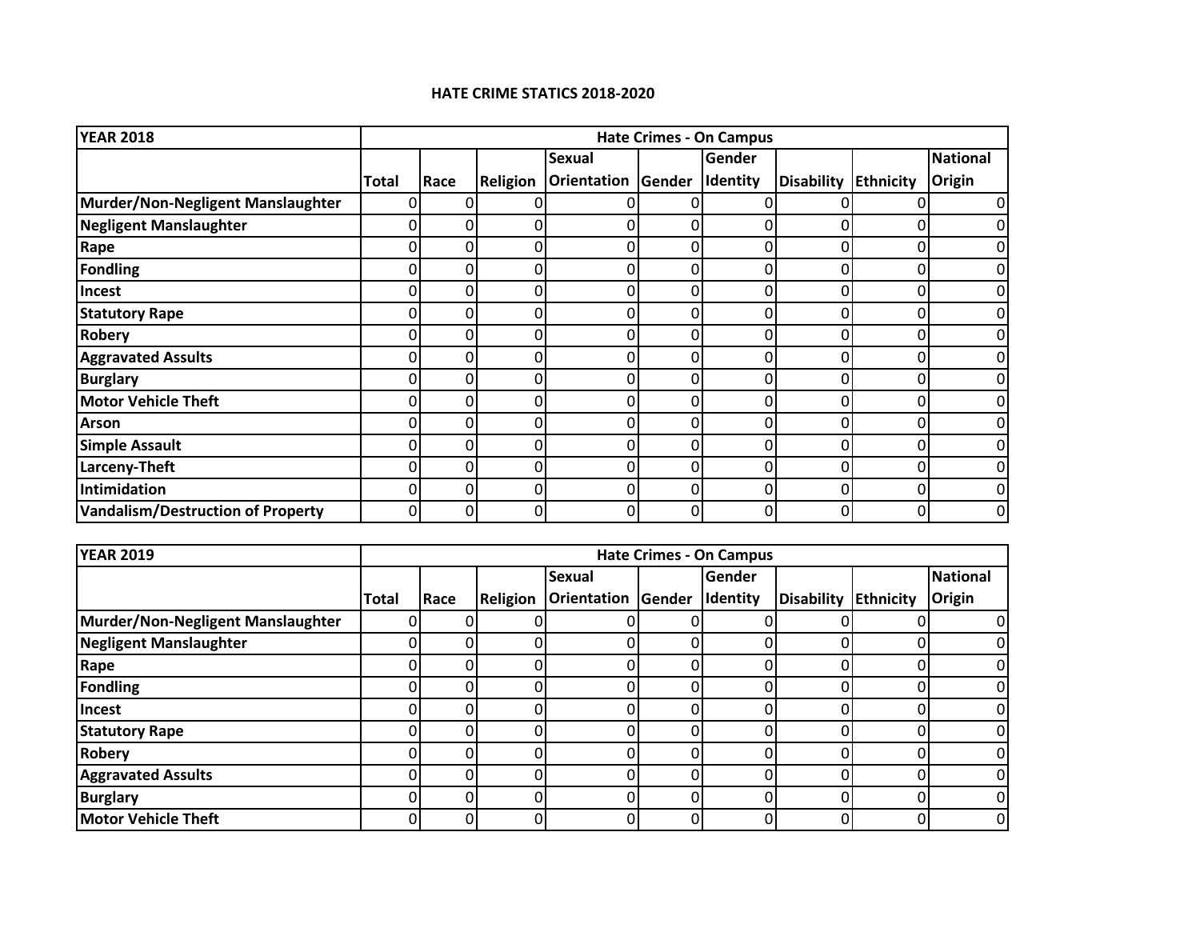| <b>YEAR 2018</b>                         |              |      |                 |                           |   | <b>Hate Crimes - On Campus</b> |                   |           |                 |
|------------------------------------------|--------------|------|-----------------|---------------------------|---|--------------------------------|-------------------|-----------|-----------------|
|                                          |              |      |                 | <b>Sexual</b>             |   | Gender                         |                   |           | <b>National</b> |
|                                          | <b>Total</b> | Race | <b>Religion</b> | <b>Orientation Gender</b> |   | Identity                       | <b>Disability</b> | Ethnicity | <b>Origin</b>   |
| Murder/Non-Negligent Manslaughter        | U            |      |                 | n                         |   |                                |                   |           | 0               |
| <b>Negligent Manslaughter</b>            | 0            |      |                 | ი                         |   |                                | $\Omega$          |           | 0               |
| Rape                                     | 0            |      |                 | 0                         |   |                                | $\Omega$          |           | 0               |
| <b>Fondling</b>                          | ი            |      |                 | 0                         | 0 |                                | $\mathbf{0}$      | 0         | 0               |
| Incest                                   |              |      |                 | 0                         |   |                                |                   |           | 0               |
| <b>Statutory Rape</b>                    |              |      |                 | 0                         |   |                                | 0                 |           | $\pmb{0}$       |
| Robery                                   | ი            |      |                 | 0                         |   |                                | 0                 |           | 0               |
| <b>Aggravated Assults</b>                | 0            |      |                 | 0                         | 0 |                                | $\Omega$          | 0         | 0               |
| <b>Burglary</b>                          | 0            |      |                 | 0                         | 0 |                                | 0                 | 0.        | 0               |
| <b>Motor Vehicle Theft</b>               | 0            |      |                 | 0                         |   |                                | $\mathbf{0}$      | 0.        | 0               |
| <b>Arson</b>                             | ი            |      |                 | 0                         |   |                                | $\mathbf{0}$      |           | $\pmb{0}$       |
| <b>Simple Assault</b>                    | 0            |      |                 | 0                         | 0 |                                | $\Omega$          | 0.        | 0               |
| <b>Larceny-Theft</b>                     | 0            | 0    |                 | 0                         | 0 |                                | 0                 |           | 0               |
| <b>Intimidation</b>                      | 0            |      |                 | 0                         | 0 |                                | 0                 | ი         | 0               |
| <b>Vandalism/Destruction of Property</b> | 0            | 0    |                 | 0                         | 0 |                                | $\Omega$          | O         | 0               |

## **HATE CRIME STATICS 2018-2020**

| <b>YEAR 2019</b>                  | <b>Hate Crimes - On Campus</b> |      |          |                           |   |                 |                   |           |                 |  |  |  |
|-----------------------------------|--------------------------------|------|----------|---------------------------|---|-----------------|-------------------|-----------|-----------------|--|--|--|
|                                   |                                |      |          | Sexual                    |   | Gender          |                   |           | <b>National</b> |  |  |  |
|                                   | <b>Total</b>                   | Race | Religion | <b>Orientation Gender</b> |   | <b>Identity</b> | <b>Disability</b> | Ethnicity | <b>Origin</b>   |  |  |  |
| Murder/Non-Negligent Manslaughter |                                |      |          |                           |   |                 |                   |           |                 |  |  |  |
| <b>Negligent Manslaughter</b>     |                                |      |          |                           |   |                 |                   |           |                 |  |  |  |
| Rape                              |                                |      |          |                           |   |                 |                   |           |                 |  |  |  |
| <b>Fondling</b>                   |                                | n    |          |                           |   |                 |                   |           |                 |  |  |  |
| Incest                            |                                |      |          |                           |   |                 |                   |           |                 |  |  |  |
| <b>Statutory Rape</b>             |                                | 0    | 0        |                           |   |                 |                   |           |                 |  |  |  |
| <b>Robery</b>                     |                                | 01   |          |                           |   |                 |                   |           |                 |  |  |  |
| <b>Aggravated Assults</b>         |                                |      | 0        |                           |   |                 |                   |           |                 |  |  |  |
| <b>Burglary</b>                   |                                | ΩI   | 0.       |                           | n |                 |                   |           | ΩI              |  |  |  |
| <b>Motor Vehicle Theft</b>        |                                |      |          | 0                         |   |                 |                   |           | 0               |  |  |  |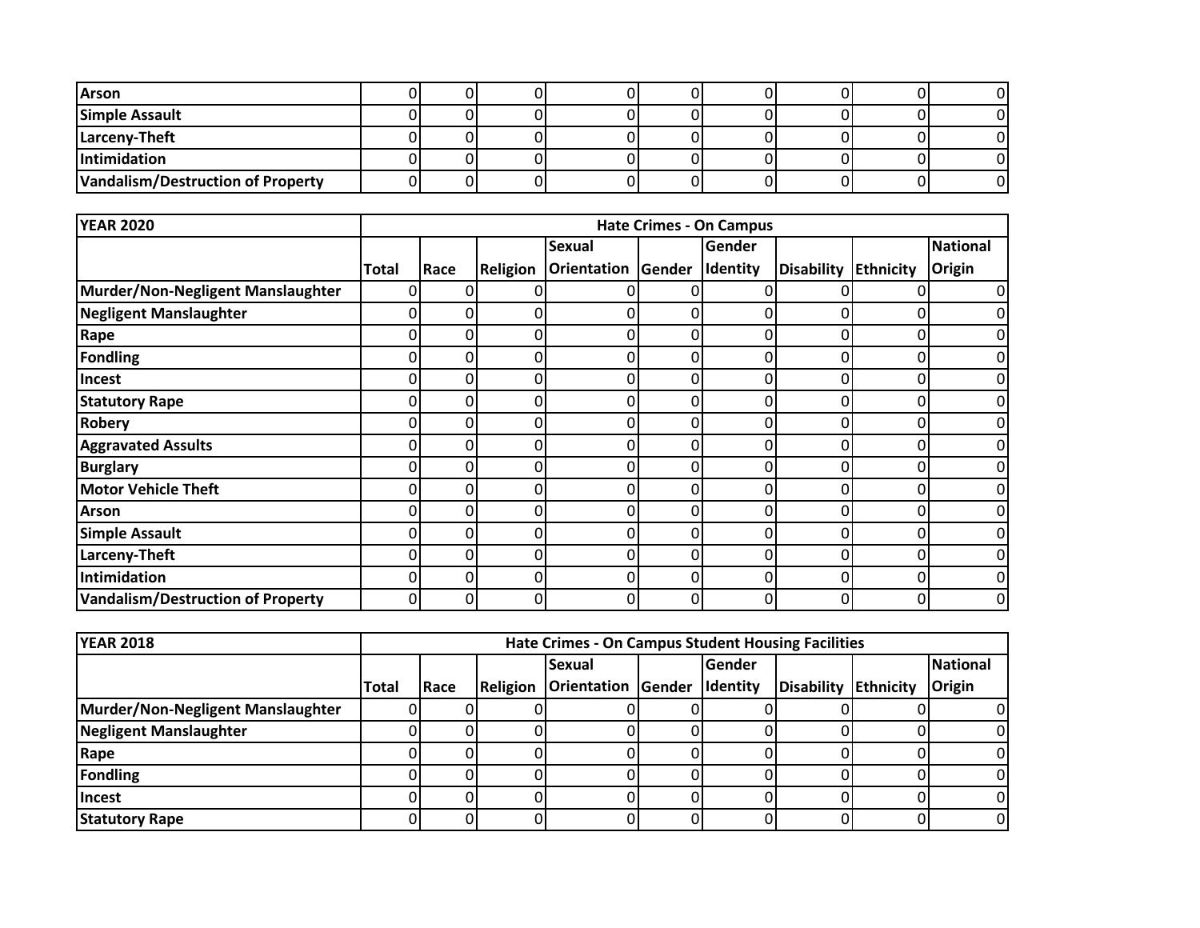| <b>Arson</b>                      |  |  |  |  |  |
|-----------------------------------|--|--|--|--|--|
| <b>Simple Assault</b>             |  |  |  |  |  |
| Larceny-Theft                     |  |  |  |  |  |
| Intimidation                      |  |  |  |  |  |
| Vandalism/Destruction of Property |  |  |  |  |  |

| <b>YEAR 2020</b>                  |              |      |          |                    |        | <b>Hate Crimes - On Campus</b> |                   |           |                 |
|-----------------------------------|--------------|------|----------|--------------------|--------|--------------------------------|-------------------|-----------|-----------------|
|                                   |              |      |          | <b>Sexual</b>      |        | Gender                         |                   |           | <b>National</b> |
|                                   | <b>Total</b> | Race | Religion | <b>Orientation</b> | Gender | Identity                       | <b>Disability</b> | Ethnicity | <b>Origin</b>   |
| Murder/Non-Negligent Manslaughter | 0            | 0    |          | Ω                  |        |                                |                   |           | 0               |
| <b>Negligent Manslaughter</b>     | 0            | 0    | 0        | 0                  |        | 0                              |                   |           | 0               |
| Rape                              | 0            |      | ი        | 0                  |        | ი                              |                   |           | 0               |
| <b>Fondling</b>                   | 0            | n    |          | 0                  |        | <sup>0</sup>                   |                   |           | 0               |
| Incest                            |              | 0    |          | 0                  |        | 0.                             |                   |           | 0               |
| <b>Statutory Rape</b>             |              |      |          | 0                  |        |                                |                   |           | 0               |
| <b>Robery</b>                     |              |      |          | 0                  |        |                                |                   |           | 0               |
| <b>Aggravated Assults</b>         |              | 0    | 0        | 0                  |        |                                |                   |           | 0               |
| <b>Burglary</b>                   | 0            | 0    | 0        | 0                  |        | 0                              |                   |           | 0               |
| <b>Motor Vehicle Theft</b>        | 0            |      | በ        | 0                  |        |                                |                   |           | 0               |
| <b>Arson</b>                      |              | 0    |          | 0                  |        |                                |                   |           | 0               |
| <b>Simple Assault</b>             | 0            | 0    | 0        | 0                  | 0      | 0                              | 0                 |           | 0               |
| <b>Larceny-Theft</b>              | 0            | 0    | 0        | 0                  |        | 0                              |                   |           | 0               |
| Intimidation                      | 0            | 0    | 0        | 0                  |        | 0                              |                   |           | 0               |
| Vandalism/Destruction of Property | $\mathbf{0}$ | 0    | 0        | 0                  | 0      | 0                              | 0                 | 0         | 0               |

| <b>YEAR 2018</b>                  | <b>Hate Crimes - On Campus Student Housing Facilities</b> |      |          |                           |  |          |                      |  |                 |  |  |  |
|-----------------------------------|-----------------------------------------------------------|------|----------|---------------------------|--|----------|----------------------|--|-----------------|--|--|--|
|                                   |                                                           |      |          | <b>Sexual</b>             |  | Gender   |                      |  | <b>National</b> |  |  |  |
|                                   | <b>Total</b>                                              | Race | Religion | <b>Orientation Gender</b> |  | Identity | Disability Ethnicity |  | <b>Origin</b>   |  |  |  |
| Murder/Non-Negligent Manslaughter |                                                           |      |          |                           |  |          |                      |  |                 |  |  |  |
| <b>Negligent Manslaughter</b>     |                                                           |      |          |                           |  |          |                      |  |                 |  |  |  |
| Rape                              |                                                           |      |          |                           |  |          |                      |  |                 |  |  |  |
| Fondling                          |                                                           |      |          |                           |  |          |                      |  |                 |  |  |  |
| Incest                            |                                                           |      |          |                           |  |          |                      |  |                 |  |  |  |
| <b>Statutory Rape</b>             |                                                           |      |          |                           |  |          |                      |  |                 |  |  |  |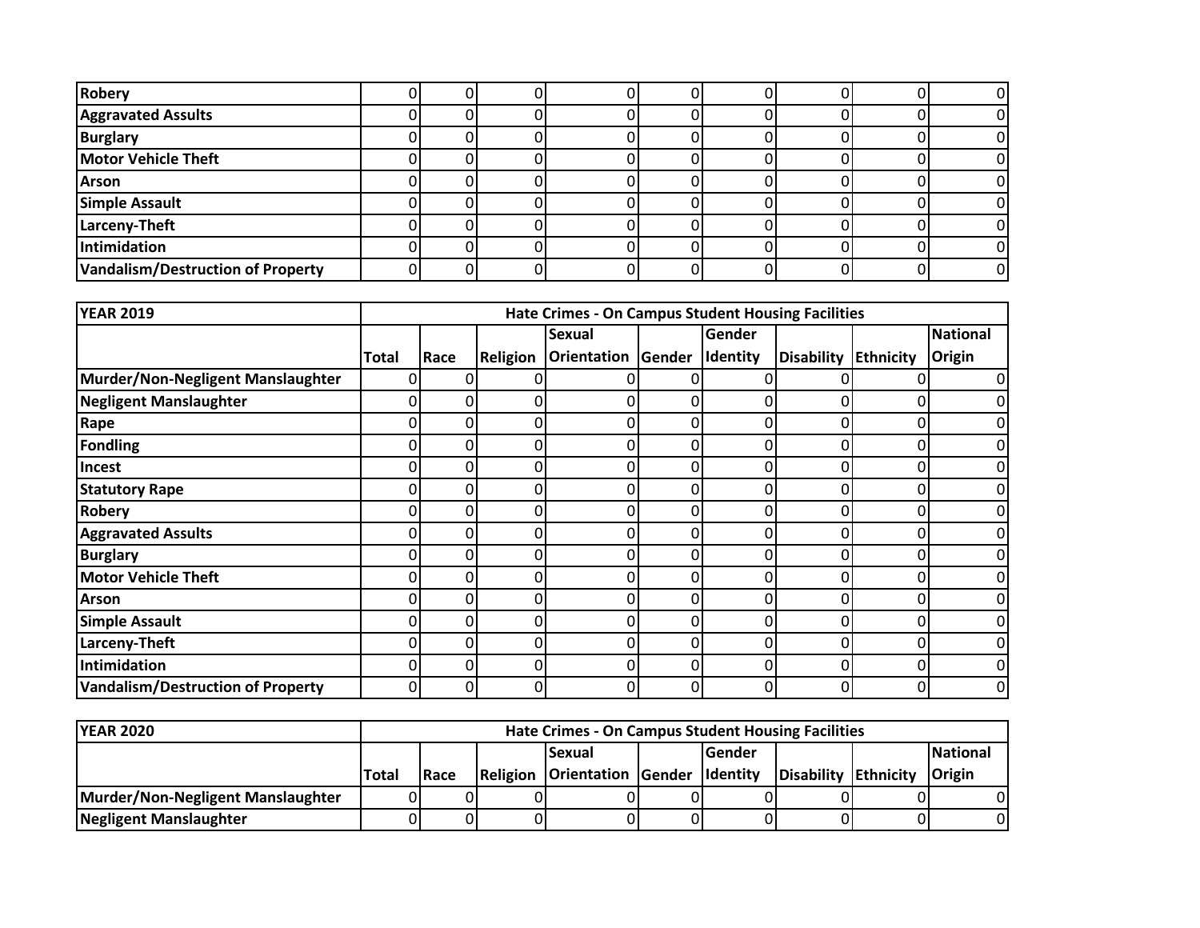| <b>Robery</b>                     |  |  |  |  |  |
|-----------------------------------|--|--|--|--|--|
| <b>Aggravated Assults</b>         |  |  |  |  |  |
| <b>Burglary</b>                   |  |  |  |  |  |
| <b>Motor Vehicle Theft</b>        |  |  |  |  |  |
| <b>Arson</b>                      |  |  |  |  |  |
| <b>Simple Assault</b>             |  |  |  |  |  |
| Larceny-Theft                     |  |  |  |  |  |
| Intimidation                      |  |  |  |  |  |
| Vandalism/Destruction of Property |  |  |  |  |  |

| <b>YEAR 2019</b>                  |              |      |                 | <b>Hate Crimes - On Campus Student Housing Facilities</b> |   |          |                   |           |                 |
|-----------------------------------|--------------|------|-----------------|-----------------------------------------------------------|---|----------|-------------------|-----------|-----------------|
|                                   |              |      |                 | <b>Sexual</b>                                             |   | Gender   |                   |           | <b>National</b> |
|                                   | <b>Total</b> | Race | <b>Religion</b> | Orientation Gender Identity                               |   |          | <b>Disability</b> | Ethnicity | Origin          |
| Murder/Non-Negligent Manslaughter | n            |      |                 |                                                           |   |          |                   |           | 0               |
| Negligent Manslaughter            |              |      |                 | 0                                                         |   |          |                   |           | 0               |
| Rape                              | 0            |      |                 | 0                                                         |   | n        |                   |           | 0               |
| Fondling                          |              |      |                 | 0                                                         |   |          |                   |           | 0               |
| Incest                            |              |      |                 | 0                                                         |   |          |                   |           | 0               |
| <b>Statutory Rape</b>             | 0            |      |                 | 0                                                         |   |          |                   |           | 0               |
| <b>Robery</b>                     | 0            |      |                 | 0                                                         |   |          |                   |           | 0               |
| <b>Aggravated Assults</b>         | 0            | 0    | 0               | 0                                                         |   | 0        |                   |           | 0               |
| <b>Burglary</b>                   | 0            |      |                 | 0                                                         |   | 0        |                   |           | 0               |
| <b>Motor Vehicle Theft</b>        | 0            |      |                 | $\mathbf{0}$                                              |   |          |                   |           | 0               |
| <b>Arson</b>                      | 0            |      |                 | 0                                                         |   |          |                   |           | 0               |
| <b>Simple Assault</b>             | 0            | n    | ი               | $\mathbf{0}$                                              |   | 0        |                   |           | 0               |
| Larceny-Theft                     | 0            | 0    | 0               | 0                                                         | ი | $\Omega$ | 0                 |           | 0               |
| Intimidation                      | 0            | 0    | 0               | 0                                                         |   | 0        | 0                 |           | 0               |
| Vandalism/Destruction of Property | 0            | n    | ი               | 0                                                         | ი | $\Omega$ | U                 | O         | $\Omega$        |

| <b>YEAR 2020</b>                  |              | <b>Hate Crimes - On Campus Student Housing Facilities</b>                                                                                                             |  |  |  |  |  |  |  |  |  |  |
|-----------------------------------|--------------|-----------------------------------------------------------------------------------------------------------------------------------------------------------------------|--|--|--|--|--|--|--|--|--|--|
|                                   | <b>Total</b> | <b>IGender</b><br><b>National</b><br><b>Sexual</b><br>Disability Ethnicity<br><b>Orientation Gender Identity</b><br><b>Origin</b><br><b>IReligion</b><br><b>IRace</b> |  |  |  |  |  |  |  |  |  |  |
| Murder/Non-Negligent Manslaughter |              |                                                                                                                                                                       |  |  |  |  |  |  |  |  |  |  |
| <b>Negligent Manslaughter</b>     |              |                                                                                                                                                                       |  |  |  |  |  |  |  |  |  |  |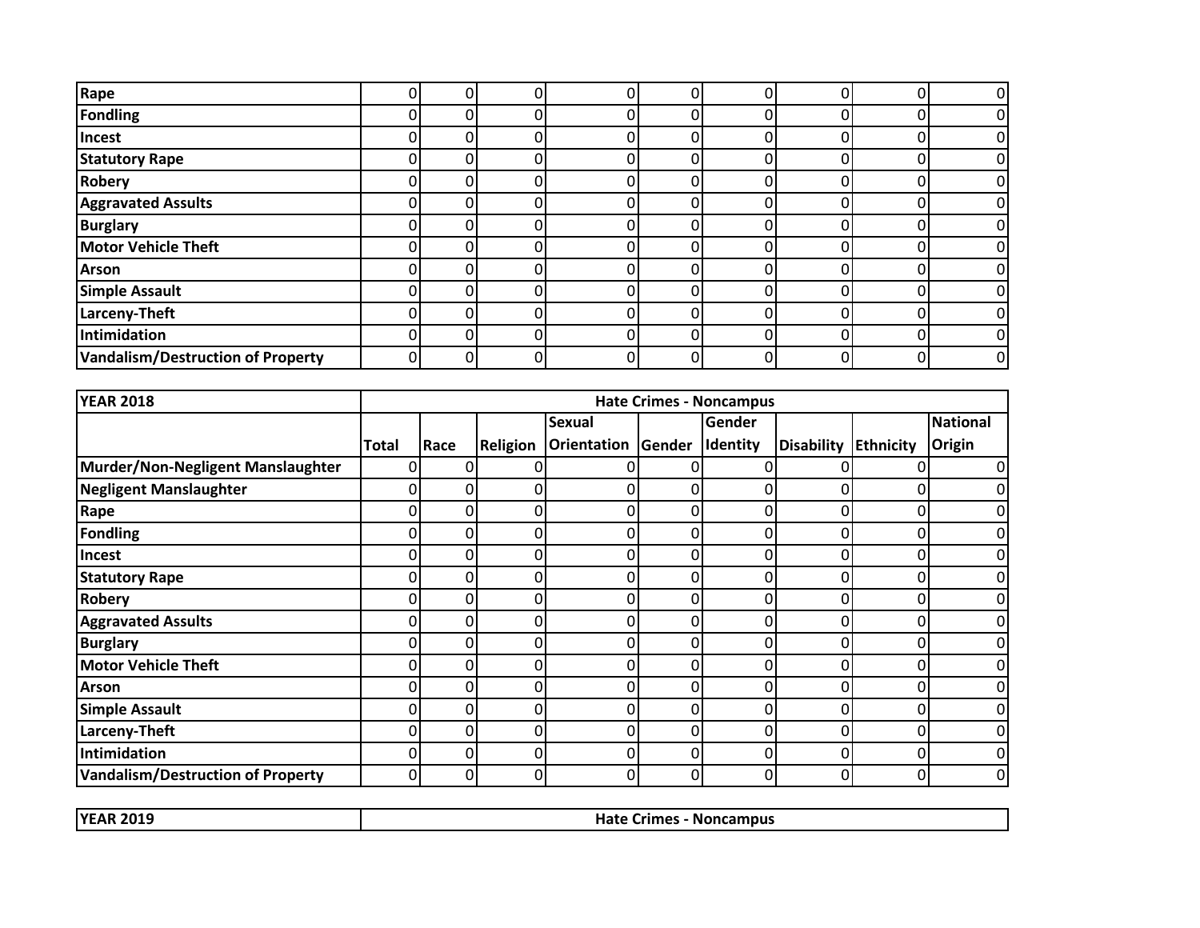| Rape                                     |          |   |   |          |   |  | 0              |
|------------------------------------------|----------|---|---|----------|---|--|----------------|
| <b>Fondling</b>                          |          |   |   |          |   |  | 0              |
| Incest                                   |          |   |   | 0        |   |  | 0              |
| <b>Statutory Rape</b>                    | C        |   |   |          |   |  | $\Omega$       |
| <b>Robery</b>                            |          |   | C | 01       |   |  | $\Omega$       |
| <b>Aggravated Assults</b>                | 0        |   | 0 | 0        |   |  | $\Omega$       |
| <b>Burglary</b>                          |          |   |   |          |   |  | $\Omega$       |
| <b>Motor Vehicle Theft</b>               |          |   |   |          |   |  | 0              |
| <b>Arson</b>                             | $\Omega$ | r |   | 0        | 0 |  | $\Omega$       |
| <b>Simple Assault</b>                    | C        | C | 0 | 0        | U |  | $\Omega$       |
| Larceny-Theft                            | 0        | C |   | 0        |   |  | $\overline{0}$ |
| Intimidation                             | 0        |   | 0 | $\Omega$ | 0 |  | 0              |
| <b>Vandalism/Destruction of Property</b> | 0        |   | 0 | $\Omega$ | 0 |  | $\Omega$       |

| <b>YEAR 2018</b>                  |       | <b>Hate Crimes - Noncampus</b> |                 |               |        |          |                   |           |                 |  |  |  |
|-----------------------------------|-------|--------------------------------|-----------------|---------------|--------|----------|-------------------|-----------|-----------------|--|--|--|
|                                   |       |                                |                 | <b>Sexual</b> |        | Gender   |                   |           | <b>National</b> |  |  |  |
|                                   | Total | Race                           | <b>Religion</b> | Orientation   | Gender | Identity | <b>Disability</b> | Ethnicity | <b>Origin</b>   |  |  |  |
| Murder/Non-Negligent Manslaughter |       |                                |                 |               |        |          |                   |           |                 |  |  |  |
| <b>Negligent Manslaughter</b>     | 0     | 0                              |                 | 0             |        | 0        |                   |           | 0               |  |  |  |
| Rape                              | 0     | 0                              | 0               | 0             | Ω      | 0        |                   | 0         | 0               |  |  |  |
| <b>Fondling</b>                   | 0     |                                |                 | 0             | O      | $\Omega$ |                   |           | 0               |  |  |  |
| Incest                            |       |                                |                 | 0             |        | 0        |                   |           | 0               |  |  |  |
| <b>Statutory Rape</b>             |       |                                |                 | 0             |        | O        |                   |           | 0               |  |  |  |
| <b>Robery</b>                     |       |                                |                 | 0             |        | 0        |                   |           | 0               |  |  |  |
| <b>Aggravated Assults</b>         |       |                                |                 | 0             |        |          |                   |           | 0               |  |  |  |
| <b>Burglary</b>                   | 0     |                                |                 | 0             | 0      | 0        |                   |           | 0               |  |  |  |
| <b>Motor Vehicle Theft</b>        |       |                                |                 | 0             |        | 0l       |                   |           | 0               |  |  |  |
| <b>Arson</b>                      |       |                                |                 | 0             |        | 0l       |                   |           | 0               |  |  |  |
| <b>Simple Assault</b>             | 0     | 0                              |                 | 0             | O      | 0        |                   |           | 0               |  |  |  |
| <b>Larceny-Theft</b>              | 0     |                                |                 | 0             |        | 0        |                   |           | 0               |  |  |  |
| <b>Intimidation</b>               | 0     |                                |                 | 0             | O      | 0        |                   |           | 0               |  |  |  |
| Vandalism/Destruction of Property | 0     | 0                              |                 | 0             | O      | 01       | 0                 | 0         | $\Omega$        |  |  |  |

| <b>IYF</b><br>__ | 11.L.<br>amnus<br><b>PERSON</b><br>- -<br>NI C<br>.<br>nau |
|------------------|------------------------------------------------------------|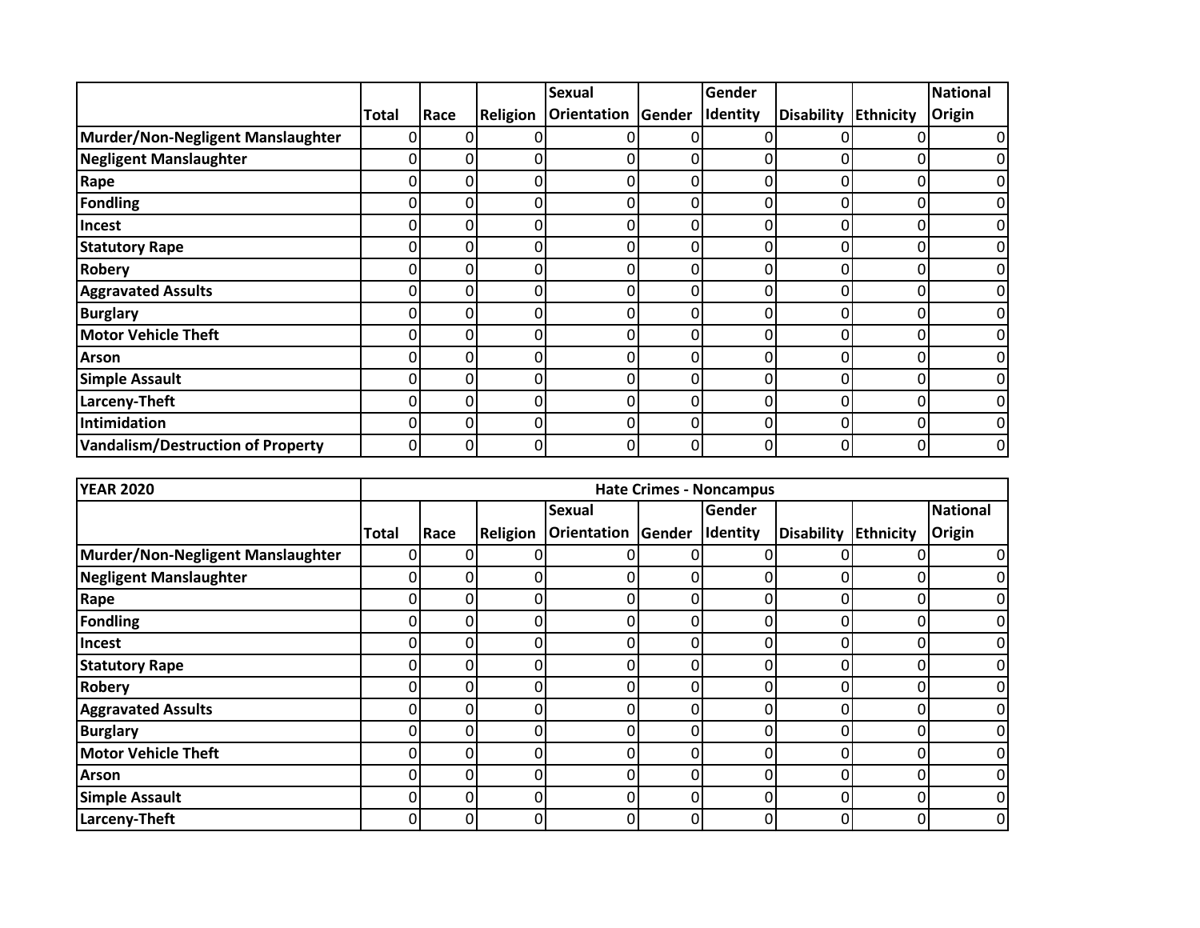|                                   |              |      |                 | <b>Sexual</b>      |               | Gender   |                   |                | <b>National</b> |
|-----------------------------------|--------------|------|-----------------|--------------------|---------------|----------|-------------------|----------------|-----------------|
|                                   | <b>Total</b> | Race | <b>Religion</b> | <b>Orientation</b> | <b>Gender</b> | Identity | <b>Disability</b> | Ethnicity      | <b>Origin</b>   |
| Murder/Non-Negligent Manslaughter |              |      |                 |                    |               |          |                   |                | 01              |
| Negligent Manslaughter            | 0            |      |                 | $\mathbf{0}$       |               |          |                   |                | 0               |
| Rape                              | 0            |      |                 | 0                  | 0             | 0        |                   |                | 01              |
| <b>Fondling</b>                   | 0            | 0    |                 | 0                  | 0             | 0        |                   |                | 0               |
| Incest                            | 0            | 0    | O               | $\mathbf{0}$       | O             | O.       | U                 | $\Omega$       | 0               |
| <b>Statutory Rape</b>             | 0            |      |                 | 0                  | O             | 0        |                   | 0.             | 0               |
| <b>Robery</b>                     |              |      |                 | 0                  |               | n        |                   |                | 0               |
| <b>Aggravated Assults</b>         | 0            |      |                 | 0                  | O             | 0        |                   |                | 0               |
| <b>Burglary</b>                   | 0            | 0    |                 | 0                  | 0             | 0        |                   | 0              | 0               |
| <b>Motor Vehicle Theft</b>        | 0            | 0    |                 | 0                  | 0             | 0        | O                 | $\overline{0}$ | 0               |
| <b>Arson</b>                      | U            |      |                 | 0                  | ŋ             | O.       | ∩                 | 0              | 0               |
| <b>Simple Assault</b>             |              |      |                 | 0                  |               | ሰ        |                   |                | 0               |
| Larceny-Theft                     | 0            |      |                 | 0                  | 0             | 0        | Ω                 | Οl             | 0               |
| Intimidation                      | 0            |      |                 | 0                  | O             | O.       |                   |                | 0               |
| Vandalism/Destruction of Property | 0            | 0    | 0               | 0                  | 0             | 0l       | O                 | ΩI             | 0               |

| <b>YEAR 2020</b>                  | <b>Hate Crimes - Noncampus</b> |      |                 |                    |               |          |                   |           |                 |  |  |
|-----------------------------------|--------------------------------|------|-----------------|--------------------|---------------|----------|-------------------|-----------|-----------------|--|--|
|                                   |                                |      |                 | <b>Sexual</b>      |               | Gender   |                   |           | <b>National</b> |  |  |
|                                   | Total                          | Race | <b>Religion</b> | <b>Orientation</b> | <b>Gender</b> | Identity | <b>Disability</b> | Ethnicity | <b>Origin</b>   |  |  |
| Murder/Non-Negligent Manslaughter | O                              | n    |                 |                    |               | n        |                   |           | 0               |  |  |
| <b>Negligent Manslaughter</b>     |                                | O    |                 | 0                  |               | 0        |                   |           | 0               |  |  |
| Rape                              |                                | 0    |                 | 0                  | 0             | 01       |                   | 0         | $\Omega$        |  |  |
| <b>Fondling</b>                   | 0                              | 0    | ŋ               | 0                  | 0             | 01       |                   | 0         | 0               |  |  |
| Incest                            |                                |      |                 |                    |               | U        |                   |           | 0               |  |  |
| <b>Statutory Rape</b>             | 0                              | 0    |                 | 0                  | O             | 0        |                   | 0         | 0               |  |  |
| <b>Robery</b>                     | 0                              | 0    |                 | 0                  | 0             | 01       |                   | 0         | $\Omega$        |  |  |
| <b>Aggravated Assults</b>         |                                | n    |                 | 0                  | O             | 0        |                   | 0         | 0               |  |  |
| <b>Burglary</b>                   |                                | O    |                 | 0                  | ŋ             | 0        |                   |           | 0               |  |  |
| <b>Motor Vehicle Theft</b>        | 0                              | 0    | O               | 0                  | 0             | Οl       |                   | 0         | 0               |  |  |
| <b>Arson</b>                      |                                | ŋ    |                 | 0                  | ŋ             | ΩI       |                   | 0         | $\Omega$        |  |  |
| <b>Simple Assault</b>             | 0                              | 0    |                 | 0                  | 0             | 01       |                   | 0         | 0               |  |  |
| Larceny-Theft                     |                                | 0    |                 | 0                  | O             | ΩI       |                   | 0         | 0               |  |  |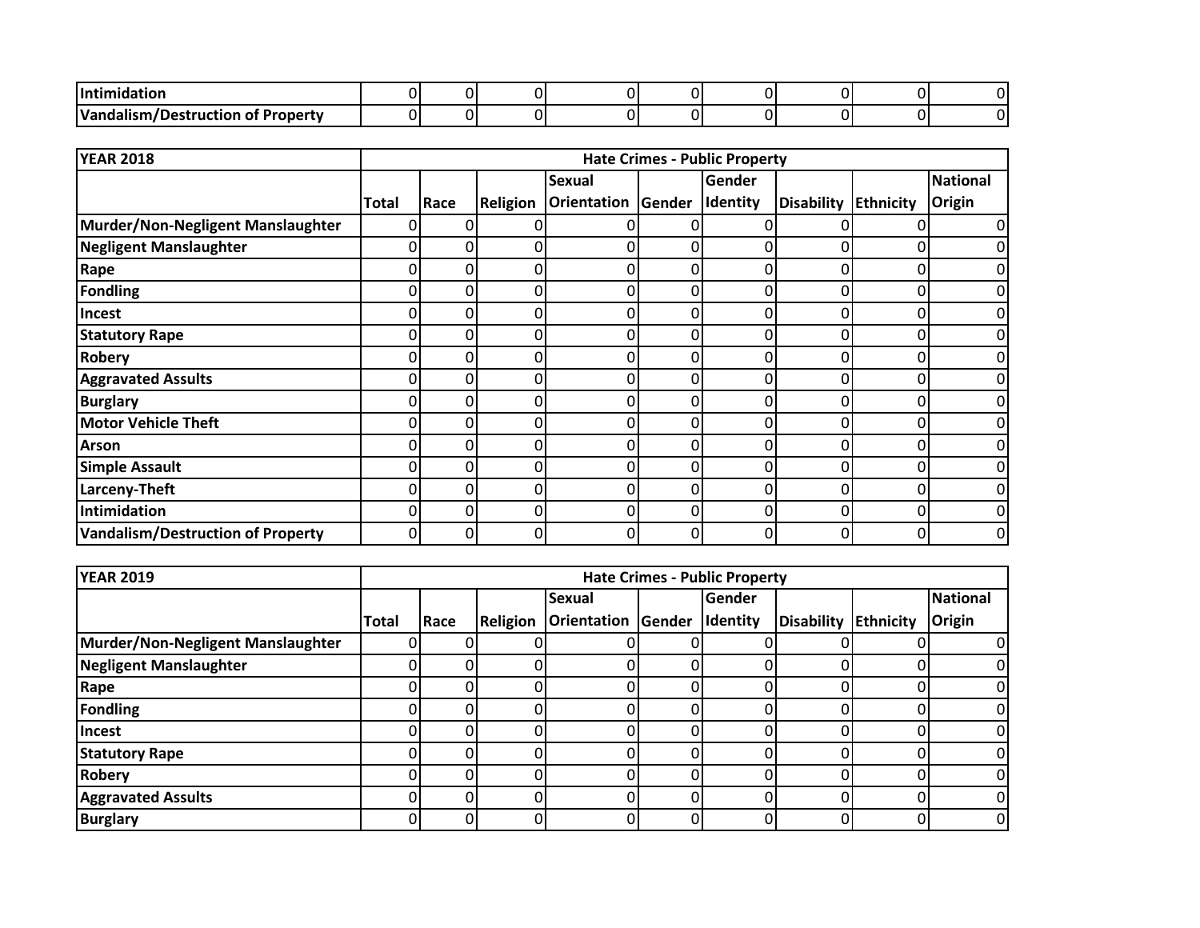| ıln'                                   | - | - |  |  | τH    |  |
|----------------------------------------|---|---|--|--|-------|--|
| u/Destruction<br>of Property<br>ialisi | - | - |  |  | ا ( ، |  |
|                                        |   |   |  |  |       |  |

| <b>YEAR 2018</b>                  | <b>Hate Crimes - Public Property</b> |      |                 |                    |        |          |                   |           |                 |  |
|-----------------------------------|--------------------------------------|------|-----------------|--------------------|--------|----------|-------------------|-----------|-----------------|--|
|                                   |                                      |      |                 | <b>Sexual</b>      |        | Gender   |                   |           | <b>National</b> |  |
|                                   | <b>Total</b>                         | Race | <b>Religion</b> | <b>Orientation</b> | Gender | Identity | <b>Disability</b> | Ethnicity | Origin          |  |
| Murder/Non-Negligent Manslaughter |                                      |      |                 |                    |        |          |                   |           | 0               |  |
| <b>Negligent Manslaughter</b>     |                                      |      |                 | 0                  |        |          |                   |           | 0               |  |
| Rape                              |                                      |      |                 | 0                  |        | 0l       |                   |           | 0               |  |
| <b>Fondling</b>                   |                                      |      |                 | 0                  |        | 0        |                   |           | 0               |  |
| Incest                            |                                      |      |                 | 0                  |        |          |                   |           | 0               |  |
| <b>Statutory Rape</b>             |                                      |      |                 | 0                  |        |          |                   |           | 0               |  |
| <b>Robery</b>                     | 0                                    |      |                 | 0                  | O      | 0        |                   |           | 0               |  |
| <b>Aggravated Assults</b>         | 0                                    |      | 0               | 0                  | Ω      | 0        |                   |           | 0               |  |
| <b>Burglary</b>                   |                                      |      |                 | 0                  |        | 0        |                   |           | 0               |  |
| <b>Motor Vehicle Theft</b>        |                                      |      |                 | 0                  |        |          |                   |           | 0               |  |
| <b>Arson</b>                      | 0                                    |      |                 | $\mathbf{0}$       | O      | 0        |                   | 0         | 0               |  |
| <b>Simple Assault</b>             | 0                                    | 0    | 0               | 0                  | O      | 0        |                   | 0         | 0               |  |
| Larceny-Theft                     | 0                                    |      |                 | 0                  |        | 0        |                   |           | 0               |  |
| <b>Intimidation</b>               | 0                                    |      |                 | 0                  | O      | $\Omega$ |                   | 0         | 0               |  |
| Vandalism/Destruction of Property | 0                                    | 0    | 0               | 0                  | O      | $\Omega$ | 0                 | 0         | $\Omega$        |  |

| <b>YEAR 2019</b>                  |              | <b>Hate Crimes - Public Property</b> |                 |                           |   |          |                             |  |                 |  |  |
|-----------------------------------|--------------|--------------------------------------|-----------------|---------------------------|---|----------|-----------------------------|--|-----------------|--|--|
|                                   |              |                                      |                 | <b>Sexual</b>             |   | Gender   |                             |  | <b>National</b> |  |  |
|                                   | <b>Total</b> | Race                                 | <b>Religion</b> | <b>Orientation Gender</b> |   | Identity | <b>Disability Ethnicity</b> |  | <b>Origin</b>   |  |  |
| Murder/Non-Negligent Manslaughter |              |                                      |                 |                           |   |          |                             |  |                 |  |  |
| <b>Negligent Manslaughter</b>     |              |                                      |                 |                           |   |          |                             |  |                 |  |  |
| Rape                              |              |                                      |                 |                           |   |          |                             |  |                 |  |  |
| <b>Fondling</b>                   |              |                                      |                 |                           |   |          |                             |  |                 |  |  |
| Incest                            |              |                                      |                 |                           |   |          |                             |  |                 |  |  |
| <b>Statutory Rape</b>             |              |                                      |                 |                           | r |          |                             |  |                 |  |  |
| <b>Robery</b>                     |              |                                      |                 |                           | r |          |                             |  |                 |  |  |
| <b>Aggravated Assults</b>         |              |                                      |                 |                           | r |          |                             |  |                 |  |  |
| <b>Burglary</b>                   | 0            |                                      | 0               |                           | 0 |          |                             |  |                 |  |  |